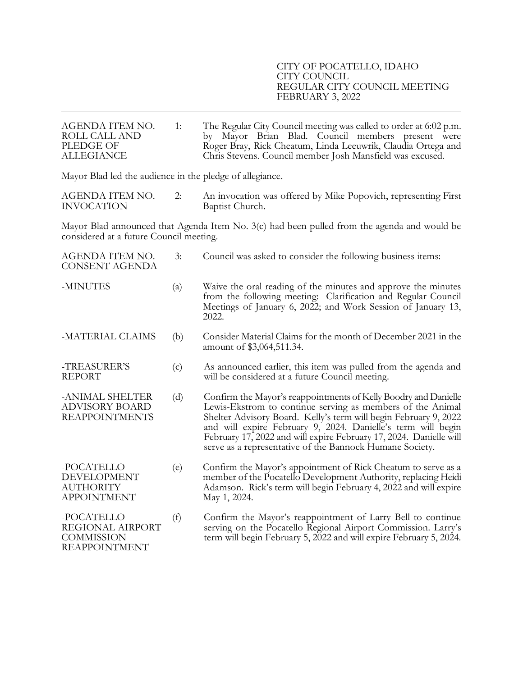| AGENDA ITEM NO.<br>ROLL CALL AND<br>PLEDGE OF<br><b>ALLEGIANCE</b>                                                                     | 1:  | The Regular City Council meeting was called to order at 6:02 p.m.<br>by Mayor Brian Blad. Council members present were<br>Roger Bray, Rick Cheatum, Linda Leeuwrik, Claudia Ortega and<br>Chris Stevens. Council member Josh Mansfield was excused.                                                                                                                                                 |  |  |
|----------------------------------------------------------------------------------------------------------------------------------------|-----|-----------------------------------------------------------------------------------------------------------------------------------------------------------------------------------------------------------------------------------------------------------------------------------------------------------------------------------------------------------------------------------------------------|--|--|
| Mayor Blad led the audience in the pledge of allegiance.                                                                               |     |                                                                                                                                                                                                                                                                                                                                                                                                     |  |  |
| AGENDA ITEM NO.<br><b>INVOCATION</b>                                                                                                   | 2:  | An invocation was offered by Mike Popovich, representing First<br>Baptist Church.                                                                                                                                                                                                                                                                                                                   |  |  |
| Mayor Blad announced that Agenda Item No. 3(c) had been pulled from the agenda and would be<br>considered at a future Council meeting. |     |                                                                                                                                                                                                                                                                                                                                                                                                     |  |  |
| AGENDA ITEM NO.<br><b>CONSENT AGENDA</b>                                                                                               | 3:  | Council was asked to consider the following business items:                                                                                                                                                                                                                                                                                                                                         |  |  |
| -MINUTES                                                                                                                               | (a) | Waive the oral reading of the minutes and approve the minutes<br>from the following meeting: Clarification and Regular Council<br>Meetings of January 6, 2022; and Work Session of January 13,<br>2022.                                                                                                                                                                                             |  |  |
| -MATERIAL CLAIMS                                                                                                                       | (b) | Consider Material Claims for the month of December 2021 in the<br>amount of \$3,064,511.34.                                                                                                                                                                                                                                                                                                         |  |  |
| -TREASURER'S<br><b>REPORT</b>                                                                                                          | (c) | As announced earlier, this item was pulled from the agenda and<br>will be considered at a future Council meeting.                                                                                                                                                                                                                                                                                   |  |  |
| -ANIMAL SHELTER<br><b>ADVISORY BOARD</b><br><b>REAPPOINTMENTS</b>                                                                      | (d) | Confirm the Mayor's reappointments of Kelly Boodry and Danielle<br>Lewis-Ekstrom to continue serving as members of the Animal<br>Shelter Advisory Board. Kelly's term will begin February 9, 2022<br>and will expire February 9, 2024. Danielle's term will begin<br>February 17, 2022 and will expire February 17, 2024. Danielle will<br>serve as a representative of the Bannock Humane Society. |  |  |
| -POCATELLO<br>DEVELOPMENT<br><b>AUTHORITY</b><br><b>APPOINTMENT</b>                                                                    | (e) | Confirm the Mayor's appointment of Rick Cheatum to serve as a<br>member of the Pocatello Development Authority, replacing Heidi<br>Adamson. Rick's term will begin February 4, 2022 and will expire<br>May 1, 2024.                                                                                                                                                                                 |  |  |
| -POCATELLO<br>REGIONAL AIRPORT<br><b>COMMISSION</b><br><b>REAPPOINTMENT</b>                                                            | (f) | Confirm the Mayor's reappointment of Larry Bell to continue<br>serving on the Pocatello Regional Airport Commission. Larry's<br>term will begin February 5, 2022 and will expire February 5, 2024.                                                                                                                                                                                                  |  |  |
|                                                                                                                                        |     |                                                                                                                                                                                                                                                                                                                                                                                                     |  |  |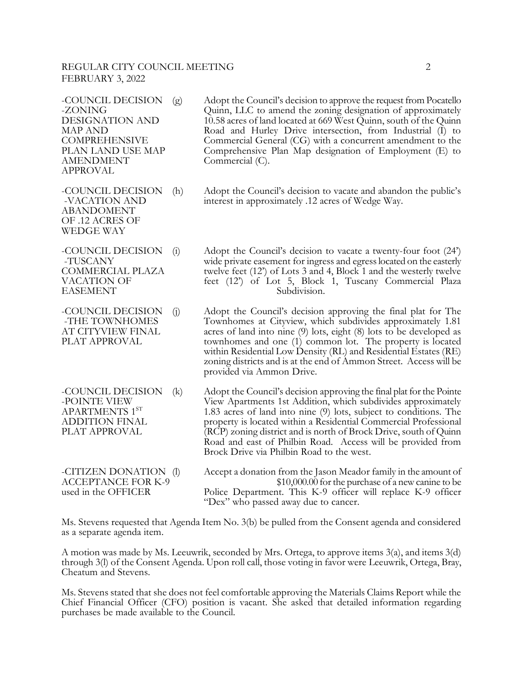#### REGULAR CITY COUNCIL MEETING **2** FEBRUARY 3, 2022

AMENDMENT Commercial (C). APPROVAL

ABANDOMENT OF .12 ACRES OF WEDGE WAY

-COUNCIL DECISION (g) Adopt the Council's decision to approve the request from Pocatello -ZONING<br>DESIGNATION AND 0.58 acres of land located at 669 West Quinn, south of the Quinn 10.58 acres of land located at 669 West Quinn, south of the Quinn MAP AND **Road and Hurley Drive intersection, from Industrial (I)** to COMPREHENSIVE Commercial General (CG) with a concurrent amendment to the COMPREHENSIVE Commercial General (CG) with a concurrent amendment to the<br>PLAN LAND USE MAP Comprehensive Plan Map designation of Employment (E) to Comprehensive Plan Map designation of Employment (E) to

-COUNCIL DECISION (h) Adopt the Council's decision to vacate and abandon the public's -VACATION AND interest in approximately .12 acres of Wedge Way.

-COUNCIL DECISION (i) Adopt the Council's decision to vacate a twenty-four foot (24') -TUSCANY wide private easement for ingress and egress located on the easterly COMMERCIAL PLAZA twelve feet (12') of Lots 3 and 4, Block 1 and the westerly twelve VACATION OF feet (12') of Lot 5, Block 1, Tuscany Commercial Plaza EASEMENT Subdivision.

-COUNCIL DECISION (j) Adopt the Council's decision approving the final plat for The -THE TOWNHOMES Townhomes at Cityview, which subdivides approximately 1.81 AT CITYVIEW FINAL acres of land into nine (9) lots, eight (8) lots to be developed as PLAT APPROVAL townhomes and one (1) common lot. The property is located townhomes and one (1) common lot. The property is located within Residential Low Density (RL) and Residential Estates (RE) zoning districts and is at the end of Ammon Street. Access will be provided via Ammon Drive.

-COUNCIL DECISION (k) Adopt the Council's decision approving the final plat for the Pointe -POINTE VIEW View Apartments 1st Addition, which subdivides approximately<br>APARTMENTS 1<sup>ST</sup> 1.83 acres of land into nine (9) lots, subject to conditions. The 1.83 acres of land into nine  $(9)$  lots, subject to conditions. The ADDITION FINAL property is located within a Residential Commercial Professional<br>PLAT APPROVAL (RCP) zoning district and is north of Brock Drive, south of Quinn  $RCP$ ) zoning district and is north of Brock Drive, south of Quinn Road and east of Philbin Road. Access will be provided from Brock Drive via Philbin Road to the west.

-CITIZEN DONATION (l) Accept a donation from the Jason Meador family in the amount of ACCEPTANCE FOR K-9 \$10,000.00 for the purchase of a new canine to be<br>used in the OFFICER Police Department. This K-9 officer will replace K-9 officer Police Department. This K-9 officer will replace K-9 officer "Dex" who passed away due to cancer.

Ms. Stevens requested that Agenda Item No. 3(b) be pulled from the Consent agenda and considered as a separate agenda item.

A motion was made by Ms. Leeuwrik, seconded by Mrs. Ortega, to approve items 3(a), and items 3(d) through 3(l) of the Consent Agenda. Upon roll call, those voting in favor were Leeuwrik, Ortega, Bray, Cheatum and Stevens.

Ms. Stevens stated that she does not feel comfortable approving the Materials Claims Report while the Chief Financial Officer (CFO) position is vacant. She asked that detailed information regarding purchases be made available to the Council.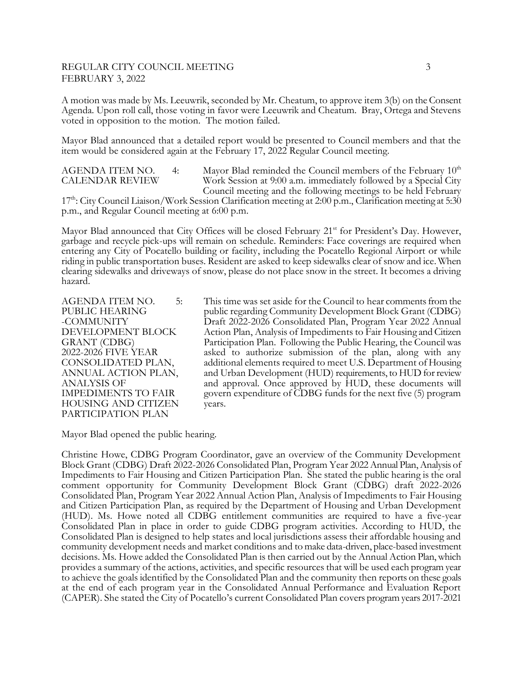### REGULAR CITY COUNCIL MEETING 3 FEBRUARY 3, 2022

A motion was made by Ms. Leeuwrik, seconded by Mr. Cheatum, to approve item 3(b) on the Consent Agenda. Upon roll call, those voting in favor were Leeuwrik and Cheatum. Bray, Ortega and Stevens voted in opposition to the motion. The motion failed.

Mayor Blad announced that a detailed report would be presented to Council members and that the item would be considered again at the February 17, 2022 Regular Council meeting.

| <b>AGENDA ITEM NO.</b> | 4: |
|------------------------|----|
| <b>CALENDAR REVIEW</b> |    |

Mayor Blad reminded the Council members of the February  $10<sup>th</sup>$ Work Session at 9:00 a.m. immediately followed by a Special City Council meeting and the following meetings to be held February

17<sup>th</sup>: City Council Liaison/Work Session Clarification meeting at 2:00 p.m., Clarification meeting at 5:30 p.m., and Regular Council meeting at 6:00 p.m.

Mayor Blad announced that City Offices will be closed February 21<sup>st</sup> for President's Day. However, garbage and recycle pick-ups will remain on schedule. Reminders: Face coverings are required when entering any City of Pocatello building or facility, including the Pocatello Regional Airport or while riding in public transportation buses. Resident are asked to keep sidewalks clear of snow and ice. When clearing sidewalks and driveways of snow, please do not place snow in the street. It becomes a driving hazard.

HOUSING AND CITIZEN years. PARTICIPATION PLAN

AGENDA ITEM NO. 5: This time was set aside for the Council to hear comments from the PUBLIC HEARING public regarding Community Development Block Grant (CDBG)<br>-COMMUNITY Draft 2022-2026 Consolidated Plan, Program Year 2022 Annual Draft 2022-2026 Consolidated Plan, Program Year 2022 Annual DEVELOPMENT BLOCK Action Plan, Analysis of Impediments to Fair Housing and Citizen<br>GRANT (CDBG) Participation Plan. Following the Public Hearing, the Council was GRANT (CDBG) Participation Plan. Following the Public Hearing, the Council was<br>2022-2026 FIVE YEAR asked to authorize submission of the plan, along with any asked to authorize submission of the plan, along with any CONSOLIDATED PLAN, additional elements required to meet U.S. Department of Housing<br>ANNUAL ACTION PLAN, and Urban Development (HUD) requirements, to HUD for review and Urban Development (HUD) requirements, to HUD for review ANALYSIS OF and approval. Once approved by HUD, these documents will<br>IMPEDIMENTS TO FAIR govern expenditure of CDBG funds for the next five (5) program govern expenditure of CDBG funds for the next five (5) program

Mayor Blad opened the public hearing.

Christine Howe, CDBG Program Coordinator, gave an overview of the Community Development Block Grant (CDBG) Draft 2022-2026 Consolidated Plan, Program Year 2022 Annual Plan, Analysis of Impediments to Fair Housing and Citizen Participation Plan. She stated the public hearing is the oral comment opportunity for Community Development Block Grant (CDBG) draft 2022-2026 Consolidated Plan, Program Year 2022 Annual Action Plan, Analysis of Impediments to Fair Housing and Citizen Participation Plan, as required by the Department of Housing and Urban Development (HUD). Ms. Howe noted all CDBG entitlement communities are required to have a five-year Consolidated Plan in place in order to guide CDBG program activities. According to HUD, the Consolidated Plan is designed to help states and local jurisdictions assess their affordable housing and community development needs and market conditions and to make data-driven, place-based investment decisions. Ms. Howe added the Consolidated Plan is then carried out by the Annual Action Plan, which provides a summary of the actions, activities, and specific resources that will be used each program year to achieve the goals identified by the Consolidated Plan and the community then reports on these goals at the end of each program year in the Consolidated Annual Performance and Evaluation Report (CAPER). She stated the City of Pocatello's current Consolidated Plan covers program years 2017-2021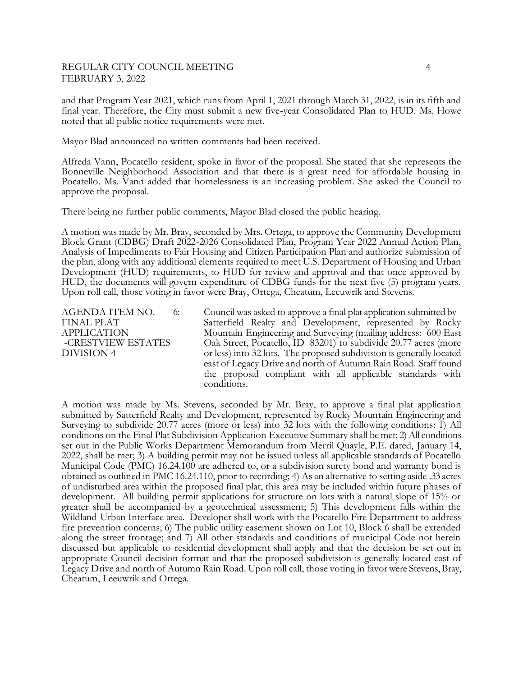#### REGULAR CITY COUNCIL MEETING 4 FEBRUARY 3, 2022

and that Program Year 2021, which runs from April 1, 2021 through March 31, 2022, is in its fifth and final year. Therefore, the City must submit a new five-year Consolidated Plan to HUD. Ms. Howe noted that all public notice requirements were met.

Mayor Blad announced no written comments had been received.

Alfreda Vann, Pocatello resident, spoke in favor of the proposal. She stated that she represents the Bonneville Neighborhood Association and that there is a great need for affordable housing in Pocatello. Ms. Vann added that homelessness is an increasing problem. She asked the Council to approve the proposal.

There being no further public comments, Mayor Blad closed the public hearing.

A motion was made by Mr. Bray, seconded by Mrs. Ortega, to approve the Community Development Block Grant (CDBG) Draft 2022-2026 Consolidated Plan, Program Year 2022 Annual Action Plan, Analysis of Impediments to Fair Housing and Citizen Participation Plan and authorize submission of the plan, along with any additional elements required to meet U.S. Department of Housing and Urban Development (HUD) requirements, to HUD for review and approval and that once approved by HUD, the documents will govern expenditure of CDBG funds for the next five (5) program years. Upon roll call, those voting in favor were Bray, Ortega, Cheatum, Leeuwrik and Stevens.

AGENDA ITEM NO. 6: Council was asked to approve a final plat application submitted by - FINAL PLAT Satterfield Realty and Development, represented by Rocky<br>APPLICATION Mountain Engineering and Surveying (mailing address: 600 East Mountain Engineering and Surveying (mailing address: 600 East -CRESTVIEW ESTATES Oak Street, Pocatello, ID 83201) to subdivide 20.77 acres (more DIVISION 4 or less) into 32 lots. The proposed subdivision is generally located east of Legacy Drive and north of Autumn Rain Road. Staff found the proposal compliant with all applicable standards with conditions.

A motion was made by Ms. Stevens, seconded by Mr. Bray, to approve a final plat application submitted by Satterfield Realty and Development, represented by Rocky Mountain Engineering and Surveying to subdivide 20.77 acres (more or less) into 32 lots with the following conditions: 1) All conditions on the Final Plat Subdivision Application Executive Summary shall be met; 2) All conditions set out in the Public Works Department Memorandum from Merril Quayle, P.E. dated, January 14, 2022, shall be met; 3) A building permit may not be issued unless all applicable standards of Pocatello Municipal Code (PMC) 16.24.100 are adhered to, or a subdivision surety bond and warranty bond is obtained as outlined in PMC 16.24.110, prior to recording; 4) As an alternative to setting aside .33 acres of undisturbed area within the proposed final plat, this area may be included within future phases of development. All building permit applications for structure on lots with a natural slope of 15% or greater shall be accompanied by a geotechnical assessment; 5) This development falls within the Wildland-Urban Interface area. Developer shall work with the Pocatello Fire Department to address fire prevention concerns; 6) The public utility easement shown on Lot 10, Block 6 shall be extended along the street frontage; and 7) All other standards and conditions of municipal Code not herein discussed but applicable to residential development shall apply and that the decision be set out in appropriate Council decision format and that the proposed subdivision is generally located east of Legacy Drive and north of Autumn Rain Road. Upon roll call, those voting in favor were Stevens, Bray, Cheatum, Leeuwrik and Ortega.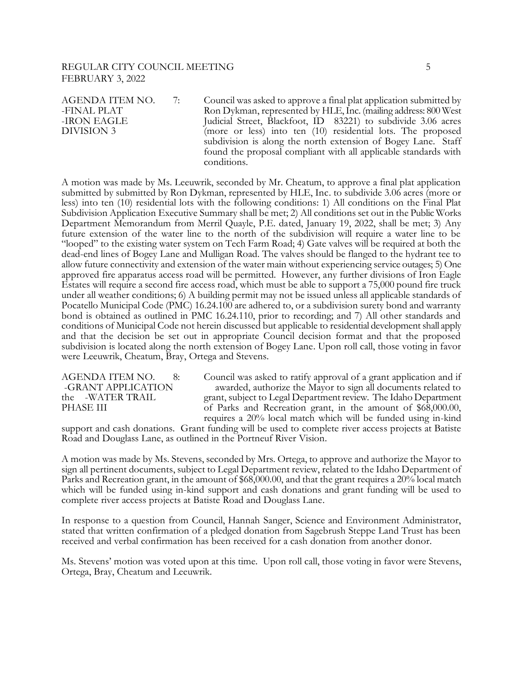#### REGULAR CITY COUNCIL MEETING  $\qquad \qquad \qquad \qquad \qquad 5$ FEBRUARY 3, 2022

AGENDA ITEM NO. 7: Council was asked to approve a final plat application submitted by -FINAL PLAT Ron Dykman, represented by HLE, Inc. (mailing address: 800 West -IRON EAGLE Judicial Street, Blackfoot, ID 83221) to subdivide 3.06 acres DIVISION 3 (more or less) into ten (10) residential lots. The proposed subdivision is along the north extension of Bogey Lane. Staff found the proposal compliant with all applicable standards with conditions.

A motion was made by Ms. Leeuwrik, seconded by Mr. Cheatum, to approve a final plat application submitted by submitted by Ron Dykman, represented by HLE, Inc. to subdivide 3.06 acres (more or less) into ten (10) residential lots with the following conditions: 1) All conditions on the Final Plat Subdivision Application Executive Summary shall be met; 2) All conditions set out in the Public Works Department Memorandum from Merril Quayle, P.E. dated, January 19, 2022, shall be met; 3) Any future extension of the water line to the north of the subdivision will require a water line to be "looped" to the existing water system on Tech Farm Road; 4) Gate valves will be required at both the dead-end lines of Bogey Lane and Mulligan Road. The valves should be flanged to the hydrant tee to allow future connectivity and extension of the water main without experiencing service outages; 5) One approved fire apparatus access road will be permitted. However, any further divisions of Iron Eagle Estates will require a second fire access road, which must be able to support a 75,000 pound fire truck under all weather conditions; 6) A building permit may not be issued unless all applicable standards of Pocatello Municipal Code (PMC) 16.24.100 are adhered to, or a subdivision surety bond and warranty bond is obtained as outlined in PMC 16.24.110, prior to recording; and 7) All other standards and conditions of Municipal Code not herein discussed but applicable to residential development shall apply and that the decision be set out in appropriate Council decision format and that the proposed subdivision is located along the north extension of Bogey Lane. Upon roll call, those voting in favor were Leeuwrik, Cheatum, Bray, Ortega and Stevens.

AGENDA ITEM NO. 8: Council was asked to ratify approval of a grant application and if -GRANT APPLICATION awarded, authorize the Mayor to sign all documents related to the -WATER TRAIL grant, subject to Legal Department review. The Idaho Department PHASE III of Parks and Recreation grant, in the amount of \$68,000.00, requires a 20% local match which will be funded using in-kind

support and cash donations. Grant funding will be used to complete river access projects at Batiste Road and Douglass Lane, as outlined in the Portneuf River Vision.

A motion was made by Ms. Stevens, seconded by Mrs. Ortega, to approve and authorize the Mayor to sign all pertinent documents, subject to Legal Department review, related to the Idaho Department of Parks and Recreation grant, in the amount of \$68,000.00, and that the grant requires a 20% local match which will be funded using in-kind support and cash donations and grant funding will be used to complete river access projects at Batiste Road and Douglass Lane.

In response to a question from Council, Hannah Sanger, Science and Environment Administrator, stated that written confirmation of a pledged donation from Sagebrush Steppe Land Trust has been received and verbal confirmation has been received for a cash donation from another donor.

Ms. Stevens' motion was voted upon at this time. Upon roll call, those voting in favor were Stevens, Ortega, Bray, Cheatum and Leeuwrik.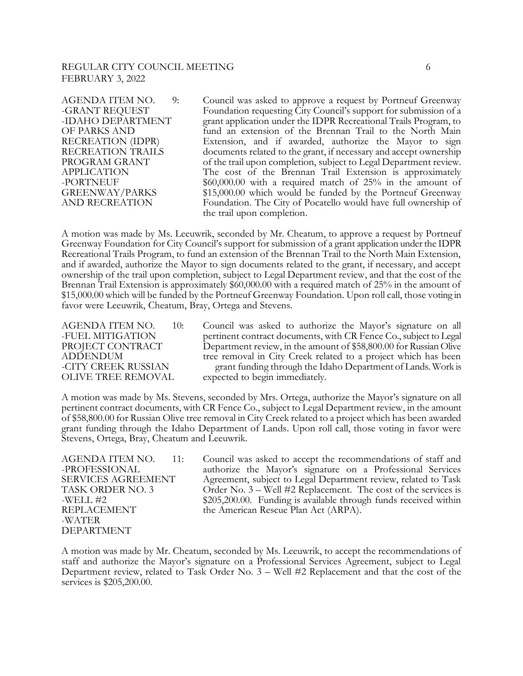#### REGULAR CITY COUNCIL MEETING 6 FEBRUARY 3, 2022

AGENDA ITEM NO. 9: Council was asked to approve a request by Portneuf Greenway -GRANT REQUEST Foundation requesting City Council's support for submission of a -IDAHO DEPARTMENT grant application under the IDPR Recreational Trails Program, to OF PARKS AND fund an extension of the Brennan Trail to the North Main RECREATION (IDPR) Extension, and if awarded, authorize the Mayor to sign RECREATION TRAILS documents related to the grant, if necessary and accept ownership PROGRAM GRANT of the trail upon completion, subject to Legal Department review. APPLICATION The cost of the Brennan Trail Extension is approximately -PORTNEUF \$60,000.00 with a required match of 25% in the amount of GREENWAY/PARKS \$15,000.00 which would be funded by the Portneuf Greenway AND RECREATION Foundation. The City of Pocatello would have full ownership of the trail upon completion.

A motion was made by Ms. Leeuwrik, seconded by Mr. Cheatum, to approve a request by Portneuf Greenway Foundation for City Council's support for submission of a grant application under the IDPR Recreational Trails Program, to fund an extension of the Brennan Trail to the North Main Extension, and if awarded, authorize the Mayor to sign documents related to the grant, if necessary, and accept ownership of the trail upon completion, subject to Legal Department review, and that the cost of the Brennan Trail Extension is approximately \$60,000.00 with a required match of 25% in the amount of \$15,000.00 which will be funded by the Portneuf Greenway Foundation. Upon roll call, those voting in favor were Leeuwrik, Cheatum, Bray, Ortega and Stevens.

AGENDA ITEM NO. 10: Council was asked to authorize the Mayor's signature on all -FUEL MITIGATION pertinent contract documents, with CR Fence Co., subject to Legal PROJECT CONTRACT Department review, in the amount of \$58,800.00 for Russian Olive ADDENDUM tree removal in City Creek related to a project which has been -CITY CREEK RUSSIAN grant funding through the Idaho Department of Lands. Work is OLIVE TREE REMOVAL expected to begin immediately.

A motion was made by Ms. Stevens, seconded by Mrs. Ortega, authorize the Mayor's signature on all pertinent contract documents, with CR Fence Co., subject to Legal Department review, in the amount of \$58,800.00 for Russian Olive tree removal in City Creek related to a project which has been awarded grant funding through the Idaho Department of Lands. Upon roll call, those voting in favor were Stevens, Ortega, Bray, Cheatum and Leeuwrik.

-WATER DEPARTMENT

AGENDA ITEM NO. 11: Council was asked to accept the recommendations of staff and -PROFESSIONAL authorize the Mayor's signature on a Professional Services SERVICES AGREEMENT Agreement, subject to Legal Department review, related to Task TASK ORDER NO. 3 Order No. 3 – Well #2 Replacement. The cost of the services is -WELL #2  $$205,200.00$ . Funding is available through funds received within REPLACEMENT the American Rescue Plan Act (ARPA).

A motion was made by Mr. Cheatum, seconded by Ms. Leeuwrik, to accept the recommendations of staff and authorize the Mayor's signature on a Professional Services Agreement, subject to Legal Department review, related to Task Order No. 3 – Well #2 Replacement and that the cost of the services is \$205,200.00.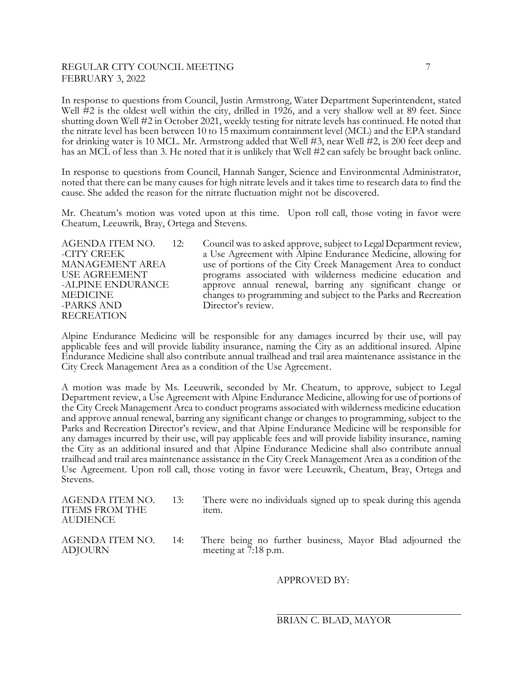# REGULAR CITY COUNCIL MEETING **7** FEBRUARY 3, 2022

In response to questions from Council, Justin Armstrong, Water Department Superintendent, stated Well #2 is the oldest well within the city, drilled in 1926, and a very shallow well at 89 feet. Since shutting down Well #2 in October 2021, weekly testing for nitrate levels has continued. He noted that the nitrate level has been between 10 to 15 maximum containment level (MCL) and the EPA standard for drinking water is 10 MCL. Mr. Armstrong added that Well #3, near Well #2, is 200 feet deep and has an MCL of less than 3. He noted that it is unlikely that Well #2 can safely be brought back online.

In response to questions from Council, Hannah Sanger, Science and Environmental Administrator, noted that there can be many causes for high nitrate levels and it takes time to research data to find the cause. She added the reason for the nitrate fluctuation might not be discovered.

Mr. Cheatum's motion was voted upon at this time. Upon roll call, those voting in favor were Cheatum, Leeuwrik, Bray, Ortega and Stevens.

RECREATION

AGENDA ITEM NO. 12: Council was to asked approve, subject to Legal Department review, -CITY CREEK a Use Agreement with Alpine Endurance Medicine, allowing for MANAGEMENT AREA use of portions of the City Creek Management Area to conduct USE AGREEMENT programs associated with wilderness medicine education and -ALPINE ENDURANCE approve annual renewal, barring any significant change or MEDICINE changes to programming and subject to the Parks and Recreation -PARKS AND Director's review. Director's review.

Alpine Endurance Medicine will be responsible for any damages incurred by their use, will pay applicable fees and will provide liability insurance, naming the City as an additional insured. Alpine Endurance Medicine shall also contribute annual trailhead and trail area maintenance assistance in the City Creek Management Area as a condition of the Use Agreement.

A motion was made by Ms. Leeuwrik, seconded by Mr. Cheatum, to approve, subject to Legal Department review, a Use Agreement with Alpine Endurance Medicine, allowing for use of portions of the City Creek Management Area to conduct programs associated with wilderness medicine education and approve annual renewal, barring any significant change or changes to programming, subject to the Parks and Recreation Director's review, and that Alpine Endurance Medicine will be responsible for any damages incurred by their use, will pay applicable fees and will provide liability insurance, naming the City as an additional insured and that Alpine Endurance Medicine shall also contribute annual trailhead and trail area maintenance assistance in the City Creek Management Area as a condition of the Use Agreement. Upon roll call, those voting in favor were Leeuwrik, Cheatum, Bray, Ortega and Stevens.

| AGENDA ITEM NO.<br>ITEMS FROM THE<br>AUDIENCE | 13: | There were no individuals signed up to speak during this agenda<br>item. |
|-----------------------------------------------|-----|--------------------------------------------------------------------------|
|                                               |     |                                                                          |

ADJOURN meeting at 7:18 p.m.

AGENDA ITEM NO. 14: There being no further business, Mayor Blad adjourned the

## APPROVED BY: